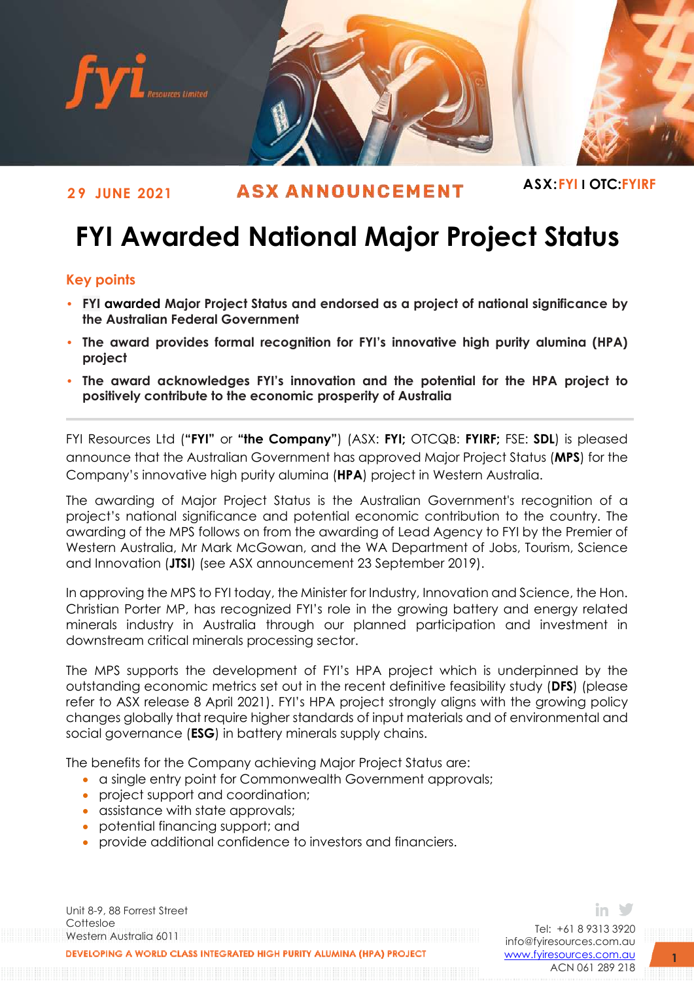

## 29 JUNE 2021 **ASX ANNOUNCEMENT** ASX:FYII OTC:FYIRF

# **FYI Awarded National Major Project Status**

### **Key points**

- **FYI awarded Major Project Status and endorsed as a project of national significance by the Australian Federal Government**
- **The award provides formal recognition for FYI's innovative high purity alumina (HPA) project**
- **The award acknowledges FYI's innovation and the potential for the HPA project to positively contribute to the economic prosperity of Australia**

FYI Resources Ltd (**"FYI"** or **"the Company"**) (ASX: **FYI;** OTCQB: **FYIRF;** FSE: **SDL**) is pleased announce that the Australian Government has approved Major Project Status (**MPS**) for the Company's innovative high purity alumina (**HPA**) project in Western Australia.

The awarding of Major Project Status is the Australian Government's recognition of a project's national significance and potential economic contribution to the country. The awarding of the MPS follows on from the awarding of Lead Agency to FYI by the Premier of Western Australia, Mr Mark McGowan, and the WA Department of Jobs, Tourism, Science and Innovation (**JTSI**) (see ASX announcement 23 September 2019).

In approving the MPS to FYI today, the Minister for Industry, Innovation and Science, the Hon. Christian Porter MP, has recognized FYI's role in the growing battery and energy related minerals industry in Australia through our planned participation and investment in downstream critical minerals processing sector.

The MPS supports the development of FYI's HPA project which is underpinned by the outstanding economic metrics set out in the recent definitive feasibility study (**DFS**) (please refer to ASX release 8 April 2021). FYI's HPA project strongly aligns with the growing policy changes globally that require higher standards of input materials and of environmental and social governance (**ESG**) in battery minerals supply chains.

The benefits for the Company achieving Major Project Status are:

- a single entry point for Commonwealth Government approvals;
- project support and coordination;
- assistance with state approvals;
- potential financing support; and
- provide additional confidence to investors and financiers.

Unit 8-9, 88 Forrest Street Cottesloe Western Australia 6011 DEVELOPING A WORLD CLASS INTEGRATED HIGH PURITY ALUMINA (HPA) PROJECT

Tel: +61 8 9313 3920 [info@fyiresources.com.au](mailto:info@fyiresources.com.au) [www.fyiresources.com.au](mailto:https://www.fyiresources.com.au/) ACN 061 289 218

in ≫

**1**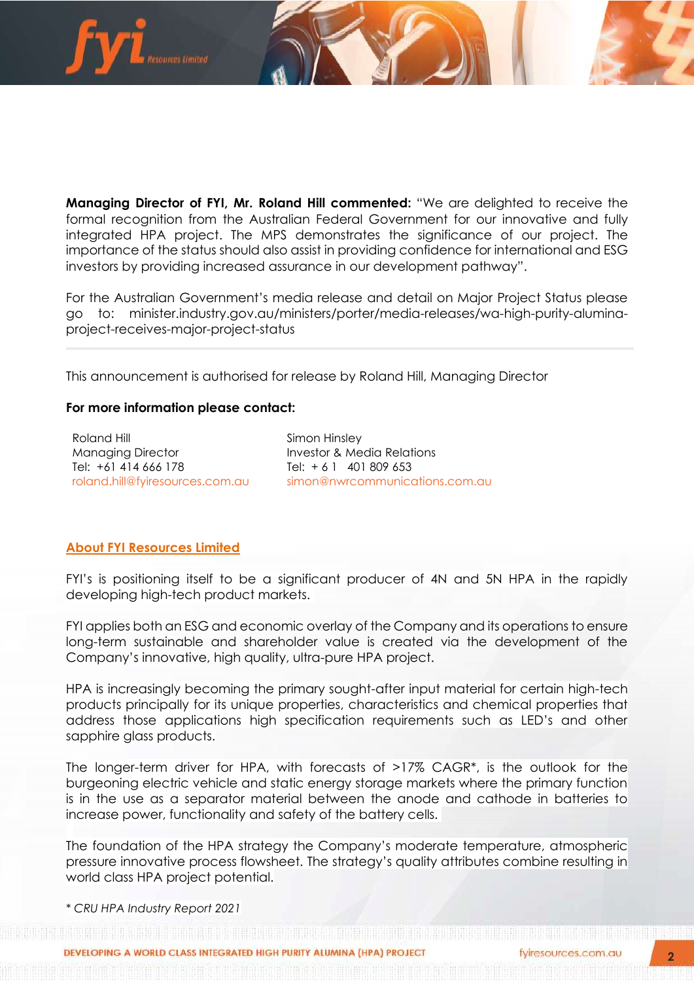

**Managing Director of FYI, Mr. Roland Hill commented:** "We are delighted to receive the formal recognition from the Australian Federal Government for our innovative and fully integrated HPA project. The MPS demonstrates the significance of our project. The importance of the status should also assist in providing confidence for international and ESG investors by providing increased assurance in our development pathway".

For the Australian Government's media release and detail on Major Project Status please go to: minister.industry.gov.au/ministers/porter/media-releases/wa-high-purity-aluminaproject-receives-major-project-status

This announcement is authorised for release by Roland Hill, Managing Director

#### **For more information please contact:**

Roland Hill Simon Hinsley Managing Director **Investor & Media Relations** Tel: +61 414 666 178 Tel: + 6 1 401 809 653

[roland.hill@fyiresources.com.au](mailto:roland.hill@fyiresources.com.au) [simon@nwrcommunications.com.au](mailto:simon@nwrcommunications.com.au)

#### **About FYI Resources Limited**

FYI's is positioning itself to be a significant producer of 4N and 5N HPA in the rapidly developing high-tech product markets.

FYI applies both an ESG and economic overlay of the Company and its operations to ensure long-term sustainable and shareholder value is created via the development of the Company's innovative, high quality, ultra-pure HPA project.

HPA is increasingly becoming the primary sought-after input material for certain high-tech products principally for its unique properties, characteristics and chemical properties that address those applications high specification requirements such as LED's and other sapphire glass products.

The longer-term driver for HPA, with forecasts of >17% CAGR\*, is the outlook for the burgeoning electric vehicle and static energy storage markets where the primary function is in the use as a separator material between the anode and cathode in batteries to increase power, functionality and safety of the battery cells.

The foundation of the HPA strategy the Company's moderate temperature, atmospheric pressure innovative process flowsheet. The strategy's quality attributes combine resulting in world class HPA project potential.

*\* CRU HPA Industry Report 2021*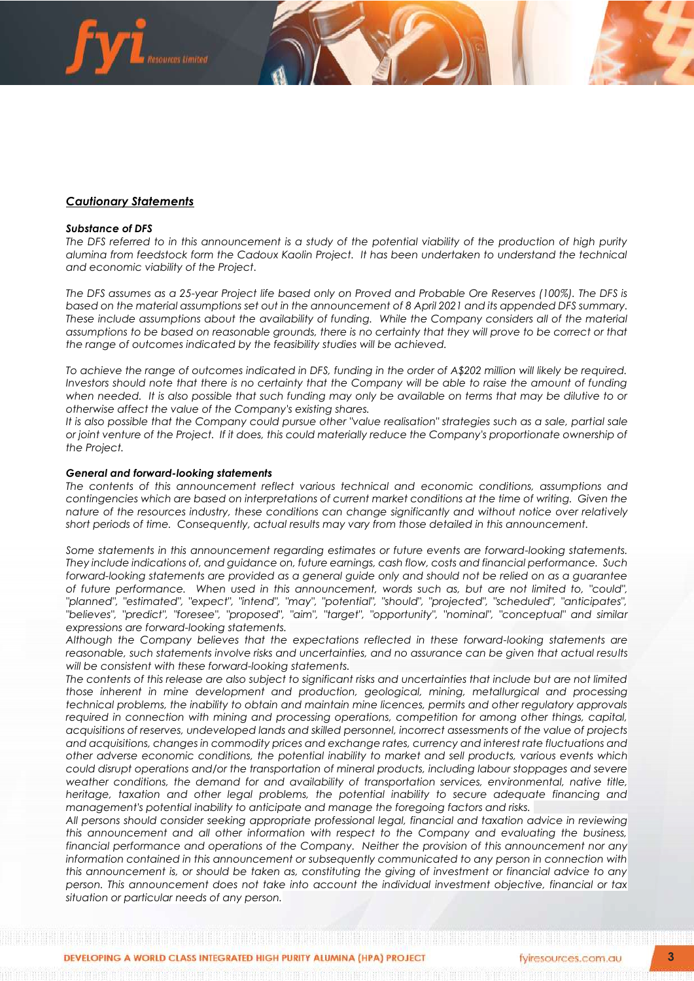#### *Cautionary Statements*

rees Limited

#### *Substance of DFS*

*The DFS referred to in this announcement is a study of the potential viability of the production of high purity alumina from feedstock form the Cadoux Kaolin Project. It has been undertaken to understand the technical and economic viability of the Project.* 

*The DFS assumes as a 25-year Project life based only on Proved and Probable Ore Reserves (100%). The DFS is based on the material assumptions set out in the announcement of 8 April 2021 and its appended DFS summary. These include assumptions about the availability of funding. While the Company considers all of the material assumptions to be based on reasonable grounds, there is no certainty that they will prove to be correct or that the range of outcomes indicated by the feasibility studies will be achieved.*

*To achieve the range of outcomes indicated in DFS, funding in the order of A\$202 million will likely be required. Investors should note that there is no certainty that the Company will be able to raise the amount of funding when needed. It is also possible that such funding may only be available on terms that may be dilutive to or otherwise affect the value of the Company's existing shares.*

*It is also possible that the Company could pursue other "value realisation" strategies such as a sale, partial sale or joint venture of the Project. If it does, this could materially reduce the Company's proportionate ownership of the Project.*

#### *General and forward-looking statements*

*The contents of this announcement reflect various technical and economic conditions, assumptions and contingencies which are based on interpretations of current market conditions at the time of writing. Given the nature of the resources industry, these conditions can change significantly and without notice over relatively short periods of time. Consequently, actual results may vary from those detailed in this announcement.*

*Some statements in this announcement regarding estimates or future events are forward-looking statements. They include indications of, and guidance on, future earnings, cash flow, costs and financial performance. Such forward-looking statements are provided as a general guide only and should not be relied on as a guarantee of future performance. When used in this announcement, words such as, but are not limited to, "could", "planned", "estimated", "expect", "intend", "may", "potential", "should", "projected", "scheduled", "anticipates", "believes", "predict", "foresee", "proposed", "aim", "target", "opportunity", "nominal", "conceptual" and similar expressions are forward-looking statements.* 

*Although the Company believes that the expectations reflected in these forward-looking statements are reasonable, such statements involve risks and uncertainties, and no assurance can be given that actual results will be consistent with these forward-looking statements.*

*The contents of this release are also subject to significant risks and uncertainties that include but are not limited those inherent in mine development and production, geological, mining, metallurgical and processing technical problems, the inability to obtain and maintain mine licences, permits and other regulatory approvals required in connection with mining and processing operations, competition for among other things, capital, acquisitions of reserves, undeveloped lands and skilled personnel, incorrect assessments of the value of projects and acquisitions, changes in commodity prices and exchange rates, currency and interest rate fluctuations and other adverse economic conditions, the potential inability to market and sell products, various events which could disrupt operations and/or the transportation of mineral products, including labour stoppages and severe weather conditions, the demand for and availability of transportation services, environmental, native title, heritage, taxation and other legal problems, the potential inability to secure adequate financing and management's potential inability to anticipate and manage the foregoing factors and risks.* 

*All persons should consider seeking appropriate professional legal, financial and taxation advice in reviewing this announcement and all other information with respect to the Company and evaluating the business, financial performance and operations of the Company. Neither the provision of this announcement nor any information contained in this announcement or subsequently communicated to any person in connection with this announcement is, or should be taken as, constituting the giving of investment or financial advice to any person. This announcement does not take into account the individual investment objective, financial or tax situation or particular needs of any person.*